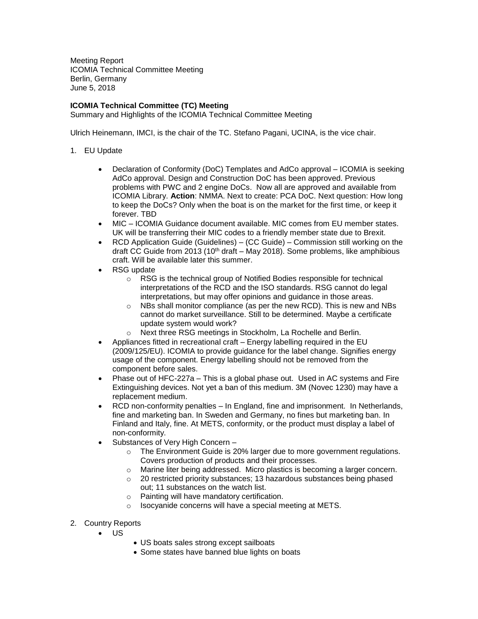Meeting Report ICOMIA Technical Committee Meeting Berlin, Germany June 5, 2018

## **ICOMIA Technical Committee (TC) Meeting**

Summary and Highlights of the ICOMIA Technical Committee Meeting

Ulrich Heinemann, IMCI, is the chair of the TC. Stefano Pagani, UCINA, is the vice chair.

- 1. EU Update
	- Declaration of Conformity (DoC) Templates and AdCo approval ICOMIA is seeking AdCo approval. Design and Construction DoC has been approved. Previous problems with PWC and 2 engine DoCs. Now all are approved and available from ICOMIA Library. **Action**: NMMA. Next to create: PCA DoC. Next question: How long to keep the DoCs? Only when the boat is on the market for the first time, or keep it forever. TBD
	- MIC ICOMIA Guidance document available. MIC comes from EU member states. UK will be transferring their MIC codes to a friendly member state due to Brexit.
	- RCD Application Guide (Guidelines) (CC Guide) Commission still working on the draft CC Guide from 2013 (10<sup>th</sup> draft – May 2018). Some problems, like amphibious craft. Will be available later this summer.
	- RSG update
		- o RSG is the technical group of Notified Bodies responsible for technical interpretations of the RCD and the ISO standards. RSG cannot do legal interpretations, but may offer opinions and guidance in those areas.
		- o NBs shall monitor compliance (as per the new RCD). This is new and NBs cannot do market surveillance. Still to be determined. Maybe a certificate update system would work?
		- o Next three RSG meetings in Stockholm, La Rochelle and Berlin.
	- Appliances fitted in recreational craft Energy labelling required in the EU (2009/125/EU). ICOMIA to provide guidance for the label change. Signifies energy usage of the component. Energy labelling should not be removed from the component before sales.
	- Phase out of HFC-227a This is a global phase out. Used in AC systems and Fire Extinguishing devices. Not yet a ban of this medium. 3M (Novec 1230) may have a replacement medium.
	- RCD non-conformity penalties In England, fine and imprisonment. In Netherlands, fine and marketing ban. In Sweden and Germany, no fines but marketing ban. In Finland and Italy, fine. At METS, conformity, or the product must display a label of non-conformity.
	- Substances of Very High Concern
		- o The Environment Guide is 20% larger due to more government regulations. Covers production of products and their processes.
		- o Marine liter being addressed. Micro plastics is becoming a larger concern.
		- o 20 restricted priority substances; 13 hazardous substances being phased out; 11 substances on the watch list.
		- Painting will have mandatory certification.
		- o Isocyanide concerns will have a special meeting at METS.
- 2. Country Reports
	- $\bullet$  US
- US boats sales strong except sailboats
- Some states have banned blue lights on boats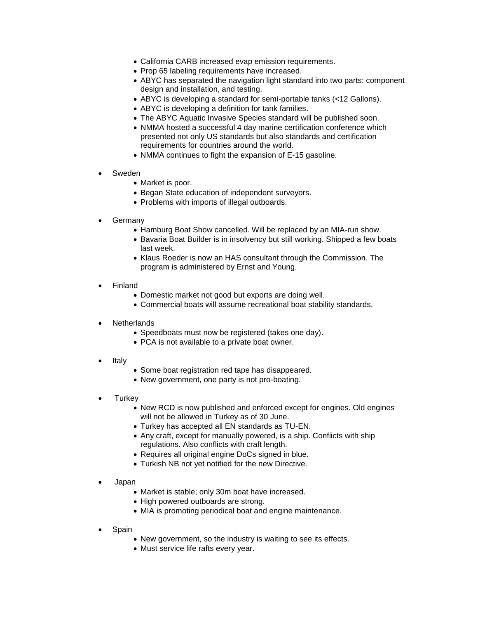- California CARB increased evap emission requirements.
- Prop 65 labeling requirements have increased.
- ABYC has separated the navigation light standard into two parts: component design and installation, and testing.
- ABYC is developing a standard for semi-portable tanks (<12 Gallons).
- ABYC is developing a definition for tank families.
- The ABYC Aquatic Invasive Species standard will be published soon.
- NMMA hosted a successful 4 day marine certification conference which presented not only US standards but also standards and certification requirements for countries around the world.
- NMMA continues to fight the expansion of E-15 gasoline.
- Sweden
	- Market is poor.
	- Began State education of independent surveyors.
	- Problems with imports of illegal outboards.
- Germany
	- Hamburg Boat Show cancelled. Will be replaced by an MIA-run show.
	- Bavaria Boat Builder is in insolvency but still working. Shipped a few boats last week.
	- Klaus Roeder is now an HAS consultant through the Commission. The program is administered by Ernst and Young.
- Finland
	- Domestic market not good but exports are doing well.
	- Commercial boats will assume recreational boat stability standards.
- **Netherlands** 
	- Speedboats must now be registered (takes one day).
	- PCA is not available to a private boat owner.
- Italy
- Some boat registration red tape has disappeared.
- New government, one party is not pro-boating.
- **Turkey** 
	- New RCD is now published and enforced except for engines. Old engines will not be allowed in Turkey as of 30 June.
	- Turkey has accepted all EN standards as TU-EN.
	- Any craft, except for manually powered, is a ship. Conflicts with ship regulations. Also conflicts with craft length.
	- Requires all original engine DoCs signed in blue.
	- Turkish NB not yet notified for the new Directive.
- Japan
	- Market is stable; only 30m boat have increased.
	- High powered outboards are strong.
	- MIA is promoting periodical boat and engine maintenance.
- Spain
	- New government, so the industry is waiting to see its effects.
	- Must service life rafts every year.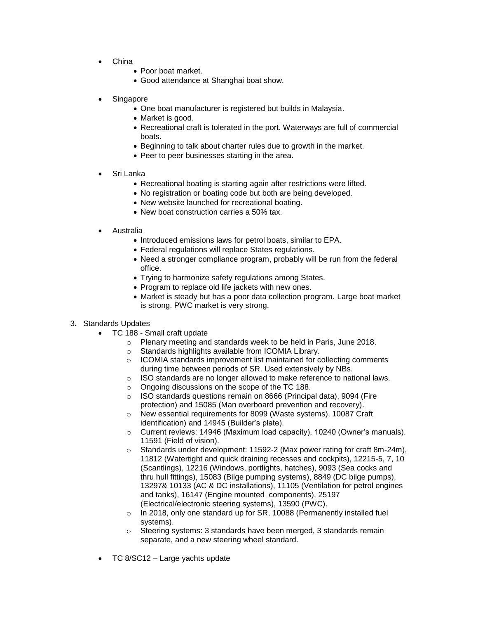- China
	- Poor boat market.
	- Good attendance at Shanghai boat show.
- Singapore
	- One boat manufacturer is registered but builds in Malaysia.
	- Market is good.
	- Recreational craft is tolerated in the port. Waterways are full of commercial boats.
	- Beginning to talk about charter rules due to growth in the market.
	- Peer to peer businesses starting in the area.
- Sri Lanka
	- Recreational boating is starting again after restrictions were lifted.
	- No registration or boating code but both are being developed.
	- New website launched for recreational boating.
	- New boat construction carries a 50% tax.
- Australia
	- $\bullet$  Introduced emissions laws for petrol boats, similar to EPA.
	- Federal regulations will replace States regulations.
	- Need a stronger compliance program, probably will be run from the federal office.
	- Trying to harmonize safety regulations among States.
	- Program to replace old life jackets with new ones.
	- Market is steady but has a poor data collection program. Large boat market is strong. PWC market is very strong.
- 3. Standards Updates
	- TC 188 Small craft update
		- o Plenary meeting and standards week to be held in Paris, June 2018.
		- o Standards highlights available from ICOMIA Library.
		- o ICOMIA standards improvement list maintained for collecting comments during time between periods of SR. Used extensively by NBs.
		- o ISO standards are no longer allowed to make reference to national laws.
		- o Ongoing discussions on the scope of the TC 188.
		- o ISO standards questions remain on 8666 (Principal data), 9094 (Fire protection) and 15085 (Man overboard prevention and recovery).
		- o New essential requirements for 8099 (Waste systems), 10087 Craft identification) and 14945 (Builder's plate).
		- o Current reviews: 14946 (Maximum load capacity), 10240 (Owner's manuals). 11591 (Field of vision).
		- $\circ$  Standards under development: 11592-2 (Max power rating for craft 8m-24m), 11812 (Watertight and quick draining recesses and cockpits), 12215-5, 7, 10 (Scantlings), 12216 (Windows, portlights, hatches), 9093 (Sea cocks and thru hull fittings), 15083 (Bilge pumping systems), 8849 (DC bilge pumps), 13297& 10133 (AC & DC installations), 11105 (Ventilation for petrol engines and tanks), 16147 (Engine mounted components), 25197 (Electrical/electronic steering systems), 13590 (PWC).
		- o In 2018, only one standard up for SR, 10088 (Permanently installed fuel systems).
		- o Steering systems: 3 standards have been merged, 3 standards remain separate, and a new steering wheel standard.
	- TC 8/SC12 Large yachts update